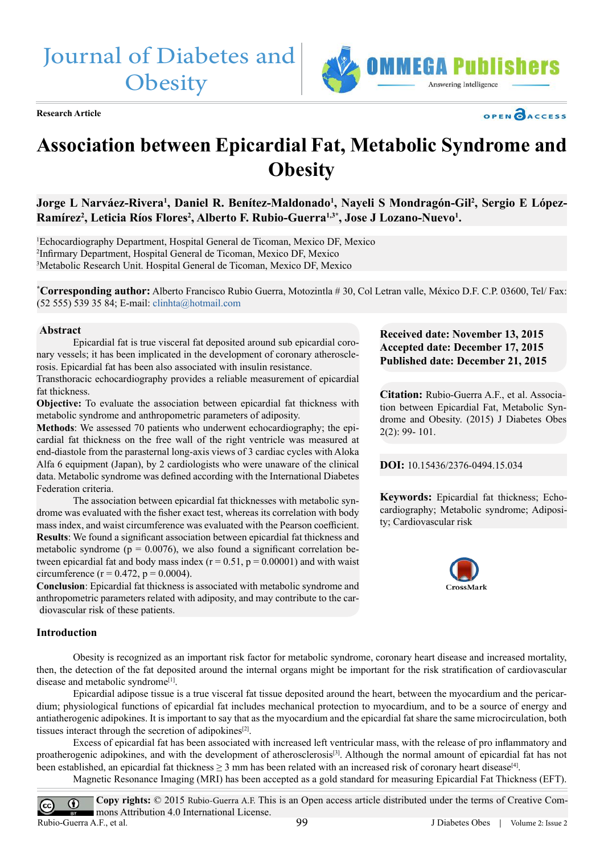Journal of Diabetes and **Obesity** 



**Research Article**



# **Association between Epicardial Fat, Metabolic Syndrome and Obesity**

Jorge L Narváez-Rivera<sup>1</sup>, Daniel R. Benítez-Maldonado<sup>1</sup>, Nayeli S Mondragón-Gil<sup>2</sup>, Sergio E López-Ramírez<sup>2</sup>, Leticia Ríos Flores<sup>2</sup>, Alberto F. Rubio-Guerra<sup>1,3\*</sup>, Jose J Lozano-Nuevo<sup>1</sup>.

1 Echocardiography Department, Hospital General de Ticoman, Mexico DF, Mexico 2 Infirmary Department, Hospital General de Ticoman, Mexico DF, Mexico 3 Metabolic Research Unit. Hospital General de Ticoman, Mexico DF, Mexico

**\* Corresponding author:** Alberto Francisco Rubio Guerra, Motozintla # 30, Col Letran valle, México D.F. C.P. 03600, Tel/ Fax: (52 555) 539 35 84; E-mail: [clinhta@hotmail.com](mailto:clinhta%40hotmail.com?subject=)

#### **Abstract**

Epicardial fat is true visceral fat deposited around sub epicardial coronary vessels; it has been implicated in the development of coronary atherosclerosis. Epicardial fat has been also associated with insulin resistance.

Transthoracic echocardiography provides a reliable measurement of epicardial fat thickness.

**Objective:** To evaluate the association between epicardial fat thickness with metabolic syndrome and anthropometric parameters of adiposity.

**Methods**: We assessed 70 patients who underwent echocardiography; the epicardial fat thickness on the free wall of the right ventricle was measured at end-diastole from the parasternal long-axis views of 3 cardiac cycles with Aloka Alfa 6 equipment (Japan), by 2 cardiologists who were unaware of the clinical data. Metabolic syndrome was defined according with the International Diabetes Federation criteria.

The association between epicardial fat thicknesses with metabolic syndrome was evaluated with the fisher exact test, whereas its correlation with body mass index, and waist circumference was evaluated with the Pearson coefficient. **Results**: We found a significant association between epicardial fat thickness and metabolic syndrome ( $p = 0.0076$ ), we also found a significant correlation between epicardial fat and body mass index  $(r = 0.51, p = 0.00001)$  and with waist circumference ( $r = 0.472$ ,  $p = 0.0004$ ).

**Conclusion**: Epicardial fat thickness is associated with metabolic syndrome and anthropometric parameters related with adiposity, and may contribute to the cardiovascular risk of these patients.

# **Introduction**

Obesity is recognized as an important risk factor for metabolic syndrome, coronary heart disease and increased mortality, then, the detection of the fat deposited around the internal organs might be important for the risk stratification of cardiovascular disease and metabolic syndrome<sup>[1]</sup>.

Epicardial adipose tissue is a true visceral fat tissue deposited around the heart, between the myocardium and the pericardium; physiological functions of epicardial fat includes mechanical protection to myocardium, and to be a source of energy and antiatherogenic adipokines. It is important to say that as the myocardium and the epicardial fat share the same microcirculation, both tissues interact through the secretion of adipokines<sup>[2]</sup>.

Excess of epicardial fat has been associated with increased left ventricular mass, with the release of pro inflammatory and proatherogenic adipokines, and with the development of atherosclerosis<sup>[3]</sup>. Although the normal amount of epicardial fat has not been established, an epicardial fat thickness  $\geq 3$  mm has been related with an increased risk of coronary heart disease<sup>[4]</sup>.

Magnetic Resonance Imaging (MRI) has been accepted as a gold standard for measuring Epicardial Fat Thickness (EFT).

**Copy rights:** © 2015 Rubio-Guerra A.F. This is an Open access article distributed under the terms of Creative Com- $\odot$  $\left(\mathrm{cc}\right)$ mons Attribution 4.0 International License. Rubio-Guerra A.F., et al.99 J Diabetes Obes | Volume 2: Issue 2



# **Received date: November 13, 2015 Accepted date: December 17, 2015 Published date: December 21, 2015**

**Citation:** Rubio-Guerra A.F., et al. Association between Epicardial Fat, Metabolic Syndrome and Obesity. (2015) J Diabetes Obes 2(2): 99- 101.

**DOI:** [10.15436/2376-0494.15.034](http://www.dx.doi.org/10.15436/ 2376-0494.15.034)

**Keywords:** Epicardial fat thickness; Echocardiography; Metabolic syndrome; Adiposity; Cardiovascular risk

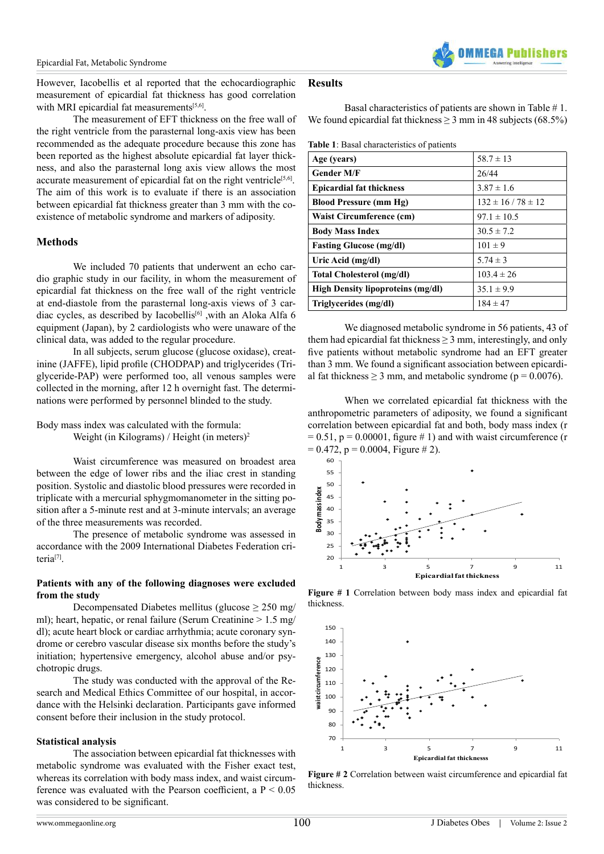However, Iacobellis et al reported that the echocardiographic measurement of epicardial fat thickness has good correlation with MRI epicardial fat measurements<sup>[5,6]</sup>.

The measurement of EFT thickness on the free wall of the right ventricle from the parasternal long-axis view has been recommended as the adequate procedure because this zone has been reported as the highest absolute epicardial fat layer thickness, and also the parasternal long axis view allows the most accurate measurement of epicardial fat on the right ventricle<sup>[5,6]</sup>. The aim of this work is to evaluate if there is an association between epicardial fat thickness greater than 3 mm with the coexistence of metabolic syndrome and markers of adiposity.

# **Methods**

We included 70 patients that underwent an echo cardio graphic study in our facility, in whom the measurement of epicardial fat thickness on the free wall of the right ventricle at end-diastole from the parasternal long-axis views of 3 cardiac cycles, as described by Iacobellis<sup>[6]</sup> ,with an Aloka Alfa 6 equipment (Japan), by 2 cardiologists who were unaware of the clinical data, was added to the regular procedure.

In all subjects, serum glucose (glucose oxidase), creatinine (JAFFE), lipid profile (CHODPAP) and triglycerides (Triglyceride-PAP) were performed too, all venous samples were collected in the morning, after 12 h overnight fast. The determinations were performed by personnel blinded to the study.

Body mass index was calculated with the formula:

Weight (in Kilograms) / Height (in meters)<sup>2</sup>

Waist circumference was measured on broadest area between the edge of lower ribs and the iliac crest in standing position. Systolic and diastolic blood pressures were recorded in triplicate with a mercurial sphygmomanometer in the sitting position after a 5-minute rest and at 3-minute intervals; an average of the three measurements was recorded.

The presence of metabolic syndrome was assessed in accordance with the 2009 International Diabetes Federation criteria[7].

# **Patients with any of the following diagnoses were excluded from the study**

Decompensated Diabetes mellitus (glucose  $\geq 250$  mg/ ml); heart, hepatic, or renal failure (Serum Creatinine  $> 1.5$  mg/ dl); acute heart block or cardiac arrhythmia; acute coronary syndrome or cerebro vascular disease six months before the study's initiation; hypertensive emergency, alcohol abuse and/or psychotropic drugs.

The study was conducted with the approval of the Research and Medical Ethics Committee of our hospital, in accordance with the Helsinki declaration. Participants gave informed consent before their inclusion in the study protocol.

# **Statistical analysis**

The association between epicardial fat thicknesses with metabolic syndrome was evaluated with the Fisher exact test, whereas its correlation with body mass index, and waist circumference was evaluated with the Pearson coefficient, a  $P < 0.05$ was considered to be significant.

# **Results**

Basal characteristics of patients are shown in Table # 1. We found epicardial fat thickness  $\geq$  3 mm in 48 subjects (68.5%)

**Table 1**: Basal characteristics of patients

| Age (years)                              | $58.7 \pm 13$            |
|------------------------------------------|--------------------------|
| <b>Gender M/F</b>                        | 26/44                    |
| <b>Epicardial fat thickness</b>          | $3.87 \pm 1.6$           |
| <b>Blood Pressure (mm Hg)</b>            | $132 \pm 16 / 78 \pm 12$ |
| Waist Circumference (cm)                 | $97.1 \pm 10.5$          |
| <b>Body Mass Index</b>                   | $30.5 \pm 7.2$           |
| <b>Fasting Glucose (mg/dl)</b>           | $101 \pm 9$              |
| Uric Acid (mg/dl)                        | $5.74 \pm 3$             |
| Total Cholesterol (mg/dl)                | $103.4 \pm 26$           |
| <b>High Density lipoproteins (mg/dl)</b> | $35.1 \pm 9.9$           |
| Triglycerides (mg/dl)                    | $184 \pm 47$             |

We diagnosed metabolic syndrome in 56 patients, 43 of them had epicardial fat thickness  $\geq$  3 mm, interestingly, and only five patients without metabolic syndrome had an EFT greater than 3 mm. We found a significant association between epicardial fat thickness > 3 mm, and metabolic syndrome ( $p = 0.0076$ ).

When we correlated epicardial fat thickness with the anthropometric parameters of adiposity, we found a significant correlation between epicardial fat and both, body mass index (r  $= 0.51$ ,  $p = 0.00001$ , figure # 1) and with waist circumference (r  $= 0.472$ , p  $= 0.0004$ , Figure # 2).



**Figure # 1** Correlation between body mass index and epicardial fat thickness.



**Figure # 2** Correlation between waist circumference and epicardial fat thickness.